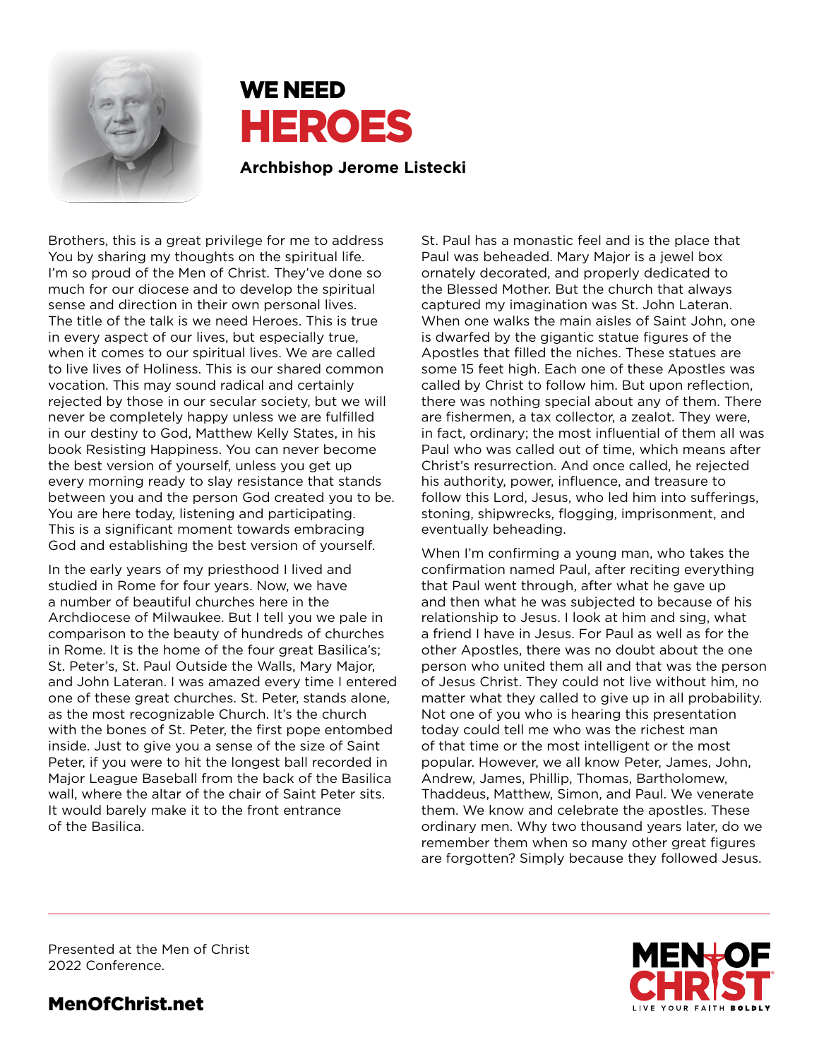



**Archbishop Jerome Listecki**

Brothers, this is a great privilege for me to address You by sharing my thoughts on the spiritual life. I'm so proud of the Men of Christ. They've done so much for our diocese and to develop the spiritual sense and direction in their own personal lives. The title of the talk is we need Heroes. This is true in every aspect of our lives, but especially true, when it comes to our spiritual lives. We are called to live lives of Holiness. This is our shared common vocation. This may sound radical and certainly rejected by those in our secular society, but we will never be completely happy unless we are fulfilled in our destiny to God, Matthew Kelly States, in his book Resisting Happiness. You can never become the best version of yourself, unless you get up every morning ready to slay resistance that stands between you and the person God created you to be. You are here today, listening and participating. This is a significant moment towards embracing God and establishing the best version of yourself.

In the early years of my priesthood I lived and studied in Rome for four years. Now, we have a number of beautiful churches here in the Archdiocese of Milwaukee. But I tell you we pale in comparison to the beauty of hundreds of churches in Rome. It is the home of the four great Basilica's; St. Peter's, St. Paul Outside the Walls, Mary Major, and John Lateran. I was amazed every time I entered one of these great churches. St. Peter, stands alone, as the most recognizable Church. It's the church with the bones of St. Peter, the first pope entombed inside. Just to give you a sense of the size of Saint Peter, if you were to hit the longest ball recorded in Major League Baseball from the back of the Basilica wall, where the altar of the chair of Saint Peter sits. It would barely make it to the front entrance of the Basilica.

St. Paul has a monastic feel and is the place that Paul was beheaded. Mary Major is a jewel box ornately decorated, and properly dedicated to the Blessed Mother. But the church that always captured my imagination was St. John Lateran. When one walks the main aisles of Saint John, one is dwarfed by the gigantic statue figures of the Apostles that filled the niches. These statues are some 15 feet high. Each one of these Apostles was called by Christ to follow him. But upon reflection, there was nothing special about any of them. There are fishermen, a tax collector, a zealot. They were, in fact, ordinary; the most influential of them all was Paul who was called out of time, which means after Christ's resurrection. And once called, he rejected his authority, power, influence, and treasure to follow this Lord, Jesus, who led him into sufferings, stoning, shipwrecks, flogging, imprisonment, and eventually beheading.

When I'm confirming a young man, who takes the confirmation named Paul, after reciting everything that Paul went through, after what he gave up and then what he was subjected to because of his relationship to Jesus. I look at him and sing, what a friend I have in Jesus. For Paul as well as for the other Apostles, there was no doubt about the one person who united them all and that was the person of Jesus Christ. They could not live without him, no matter what they called to give up in all probability. Not one of you who is hearing this presentation today could tell me who was the richest man of that time or the most intelligent or the most popular. However, we all know Peter, James, John, Andrew, James, Phillip, Thomas, Bartholomew, Thaddeus, Matthew, Simon, and Paul. We venerate them. We know and celebrate the apostles. These ordinary men. Why two thousand years later, do we remember them when so many other great figures are forgotten? Simply because they followed Jesus.

Presented at the Men of Christ 2022 Conference.



# MenOfChrist.net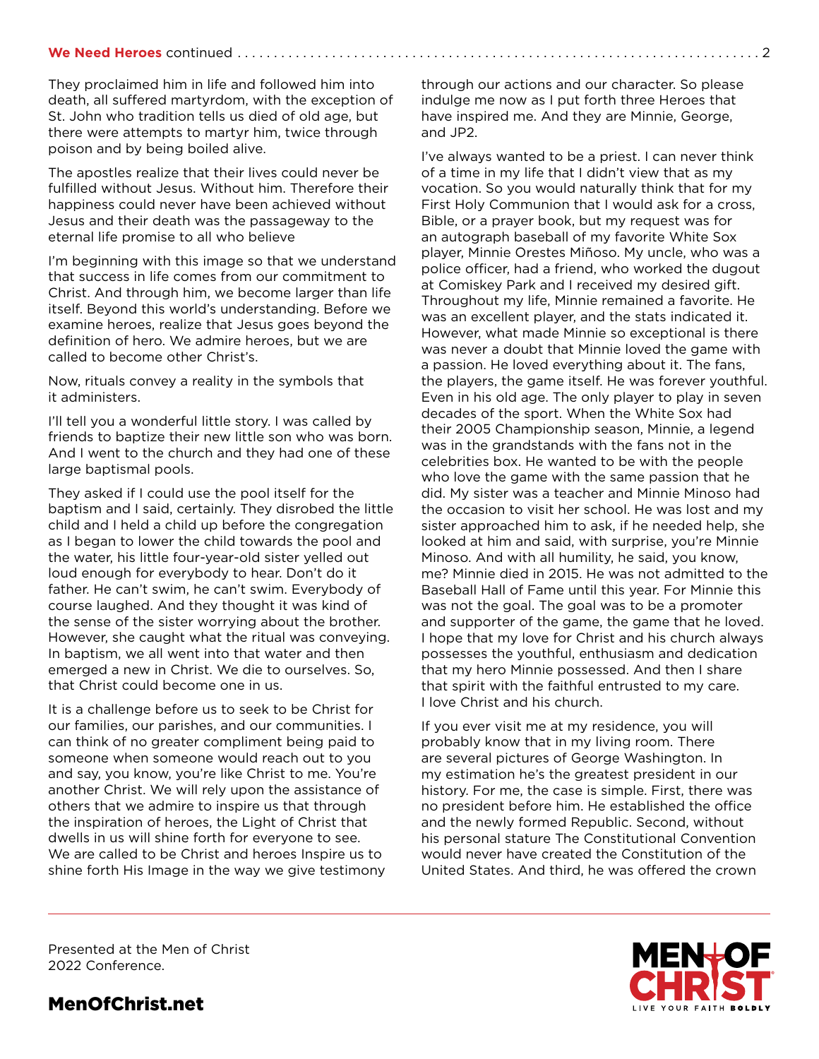### **We Need Heroes** continued. . . 2

They proclaimed him in life and followed him into death, all suffered martyrdom, with the exception of St. John who tradition tells us died of old age, but there were attempts to martyr him, twice through poison and by being boiled alive.

The apostles realize that their lives could never be fulfilled without Jesus. Without him. Therefore their happiness could never have been achieved without Jesus and their death was the passageway to the eternal life promise to all who believe

I'm beginning with this image so that we understand that success in life comes from our commitment to Christ. And through him, we become larger than life itself. Beyond this world's understanding. Before we examine heroes, realize that Jesus goes beyond the definition of hero. We admire heroes, but we are called to become other Christ's.

Now, rituals convey a reality in the symbols that it administers.

I'll tell you a wonderful little story. I was called by friends to baptize their new little son who was born. And I went to the church and they had one of these large baptismal pools.

They asked if I could use the pool itself for the baptism and I said, certainly. They disrobed the little child and I held a child up before the congregation as I began to lower the child towards the pool and the water, his little four-year-old sister yelled out loud enough for everybody to hear. Don't do it father. He can't swim, he can't swim. Everybody of course laughed. And they thought it was kind of the sense of the sister worrying about the brother. However, she caught what the ritual was conveying. In baptism, we all went into that water and then emerged a new in Christ. We die to ourselves. So, that Christ could become one in us.

It is a challenge before us to seek to be Christ for our families, our parishes, and our communities. I can think of no greater compliment being paid to someone when someone would reach out to you and say, you know, you're like Christ to me. You're another Christ. We will rely upon the assistance of others that we admire to inspire us that through the inspiration of heroes, the Light of Christ that dwells in us will shine forth for everyone to see. We are called to be Christ and heroes Inspire us to shine forth His Image in the way we give testimony through our actions and our character. So please indulge me now as I put forth three Heroes that have inspired me. And they are Minnie, George, and JP2.

I've always wanted to be a priest. I can never think of a time in my life that I didn't view that as my vocation. So you would naturally think that for my First Holy Communion that I would ask for a cross, Bible, or a prayer book, but my request was for an autograph baseball of my favorite White Sox player, Minnie Orestes Miñoso. My uncle, who was a police officer, had a friend, who worked the dugout at Comiskey Park and I received my desired gift. Throughout my life, Minnie remained a favorite. He was an excellent player, and the stats indicated it. However, what made Minnie so exceptional is there was never a doubt that Minnie loved the game with a passion. He loved everything about it. The fans, the players, the game itself. He was forever youthful. Even in his old age. The only player to play in seven decades of the sport. When the White Sox had their 2005 Championship season, Minnie, a legend was in the grandstands with the fans not in the celebrities box. He wanted to be with the people who love the game with the same passion that he did. My sister was a teacher and Minnie Minoso had the occasion to visit her school. He was lost and my sister approached him to ask, if he needed help, she looked at him and said, with surprise, you're Minnie Minoso. And with all humility, he said, you know, me? Minnie died in 2015. He was not admitted to the Baseball Hall of Fame until this year. For Minnie this was not the goal. The goal was to be a promoter and supporter of the game, the game that he loved. I hope that my love for Christ and his church always possesses the youthful, enthusiasm and dedication that my hero Minnie possessed. And then I share that spirit with the faithful entrusted to my care. I love Christ and his church.

If you ever visit me at my residence, you will probably know that in my living room. There are several pictures of George Washington. In my estimation he's the greatest president in our history. For me, the case is simple. First, there was no president before him. He established the office and the newly formed Republic. Second, without his personal stature The Constitutional Convention would never have created the Constitution of the United States. And third, he was offered the crown

Presented at the Men of Christ 2022 Conference.



# MenOfChrist.net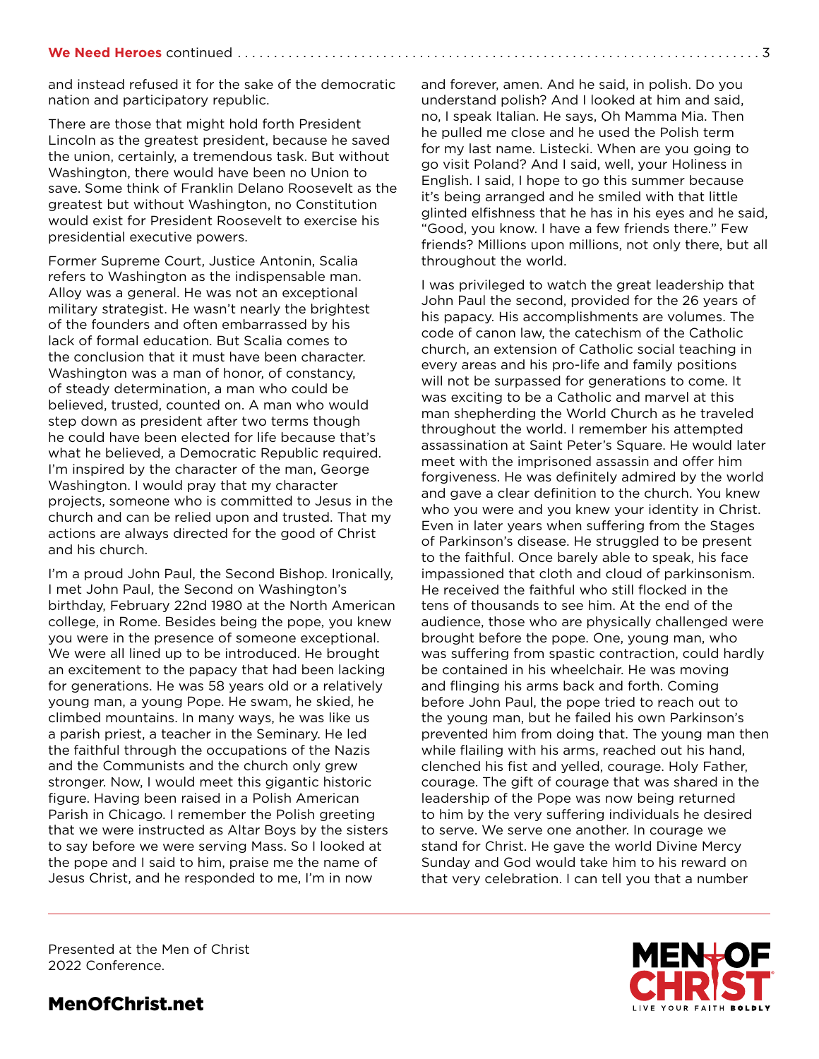and instead refused it for the sake of the democratic nation and participatory republic.

There are those that might hold forth President Lincoln as the greatest president, because he saved the union, certainly, a tremendous task. But without Washington, there would have been no Union to save. Some think of Franklin Delano Roosevelt as the greatest but without Washington, no Constitution would exist for President Roosevelt to exercise his presidential executive powers.

Former Supreme Court, Justice Antonin, Scalia refers to Washington as the indispensable man. Alloy was a general. He was not an exceptional military strategist. He wasn't nearly the brightest of the founders and often embarrassed by his lack of formal education. But Scalia comes to the conclusion that it must have been character. Washington was a man of honor, of constancy, of steady determination, a man who could be believed, trusted, counted on. A man who would step down as president after two terms though he could have been elected for life because that's what he believed, a Democratic Republic required. I'm inspired by the character of the man, George Washington. I would pray that my character projects, someone who is committed to Jesus in the church and can be relied upon and trusted. That my actions are always directed for the good of Christ and his church.

I'm a proud John Paul, the Second Bishop. Ironically, I met John Paul, the Second on Washington's birthday, February 22nd 1980 at the North American college, in Rome. Besides being the pope, you knew you were in the presence of someone exceptional. We were all lined up to be introduced. He brought an excitement to the papacy that had been lacking for generations. He was 58 years old or a relatively young man, a young Pope. He swam, he skied, he climbed mountains. In many ways, he was like us a parish priest, a teacher in the Seminary. He led the faithful through the occupations of the Nazis and the Communists and the church only grew stronger. Now, I would meet this gigantic historic figure. Having been raised in a Polish American Parish in Chicago. I remember the Polish greeting that we were instructed as Altar Boys by the sisters to say before we were serving Mass. So I looked at the pope and I said to him, praise me the name of Jesus Christ, and he responded to me, I'm in now

and forever, amen. And he said, in polish. Do you understand polish? And I looked at him and said, no, I speak Italian. He says, Oh Mamma Mia. Then he pulled me close and he used the Polish term for my last name. Listecki. When are you going to go visit Poland? And I said, well, your Holiness in English. I said, I hope to go this summer because it's being arranged and he smiled with that little glinted elfishness that he has in his eyes and he said, "Good, you know. I have a few friends there." Few friends? Millions upon millions, not only there, but all throughout the world.

I was privileged to watch the great leadership that John Paul the second, provided for the 26 years of his papacy. His accomplishments are volumes. The code of canon law, the catechism of the Catholic church, an extension of Catholic social teaching in every areas and his pro-life and family positions will not be surpassed for generations to come. It was exciting to be a Catholic and marvel at this man shepherding the World Church as he traveled throughout the world. I remember his attempted assassination at Saint Peter's Square. He would later meet with the imprisoned assassin and offer him forgiveness. He was definitely admired by the world and gave a clear definition to the church. You knew who you were and you knew your identity in Christ. Even in later years when suffering from the Stages of Parkinson's disease. He struggled to be present to the faithful. Once barely able to speak, his face impassioned that cloth and cloud of parkinsonism. He received the faithful who still flocked in the tens of thousands to see him. At the end of the audience, those who are physically challenged were brought before the pope. One, young man, who was suffering from spastic contraction, could hardly be contained in his wheelchair. He was moving and flinging his arms back and forth. Coming before John Paul, the pope tried to reach out to the young man, but he failed his own Parkinson's prevented him from doing that. The young man then while flailing with his arms, reached out his hand, clenched his fist and yelled, courage. Holy Father, courage. The gift of courage that was shared in the leadership of the Pope was now being returned to him by the very suffering individuals he desired to serve. We serve one another. In courage we stand for Christ. He gave the world Divine Mercy Sunday and God would take him to his reward on that very celebration. I can tell you that a number

Presented at the Men of Christ 2022 Conference.